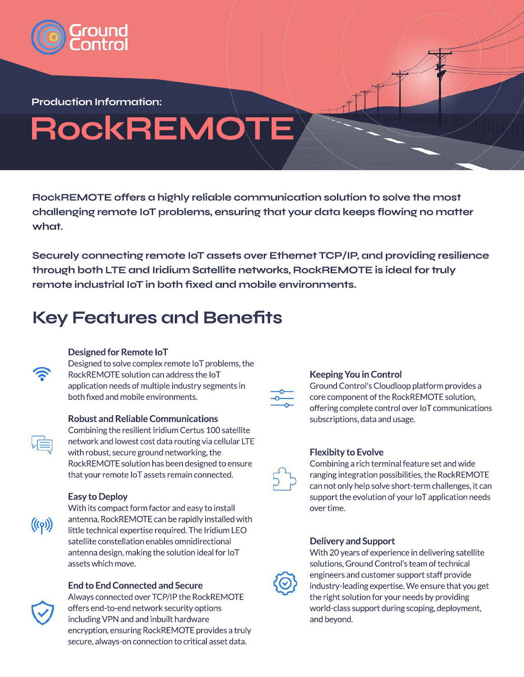

**Production Information:**

# **RockREMOTE**

RockREMOTE offers a highly reliable communication solution to solve the most **challenging remote IoT problems, ensuring that your data keeps flowing no matter what.** 

**Securely connecting remote IoT assets over Ethernet TCP/IP, and providing resilience through both LTE and Iridium Satellite networks, RockREMOTE is ideal for truly remote industrial IoT in both fixed and mobile environments.**

## **Key Features and Benefits**



#### **Designed for Remote IoT**

Designed to solve complex remote IoT problems, the RockREMOTE solution can address the IoT application needs of multiple industry segments in both fixed and mobile environments.

#### **Robust and Reliable Communications**



Combining the resilient Iridium Certus 100 satellite network and lowest cost data routing via cellular LTE with robust, secure ground networking, the RockREMOTE solution has been designed to ensure that your remote IoT assets remain connected.

#### **Easy to Deploy**

 $((\varphi))$ 

With its compact form factor and easy to install antenna, RockREMOTE can be rapidly installed with little technical expertise required. The Iridium LEO satellite constellation enables omnidirectional antenna design, making the solution ideal for IoT assets which move.

#### **End to End Connected and Secure**



Always connected over TCP/IP the RockREMOTE offers end-to-end network security options including VPN and and inbuilt hardware encryption, ensuring RockREMOTE provides a truly secure, always-on connection to critical asset data.



#### **Keeping You in Control**

Ground Control's Cloudloop platform provides a core component of the RockREMOTE solution, offering complete control over IoT communications subscriptions, data and usage.

#### **Flexibity to Evolve**

Combining a rich terminal feature set and wide ranging integration possibilities, the RockREMOTE can not only help solve short-term challenges, it can support the evolution of your IoT application needs over time.

#### **Delivery and Support**



With 20 years of experience in delivering satellite solutions, Ground Control's team of technical engineers and customer support staff provide industry-leading expertise. We ensure that you get the right solution for your needs by providing world-class support during scoping, deployment, and beyond.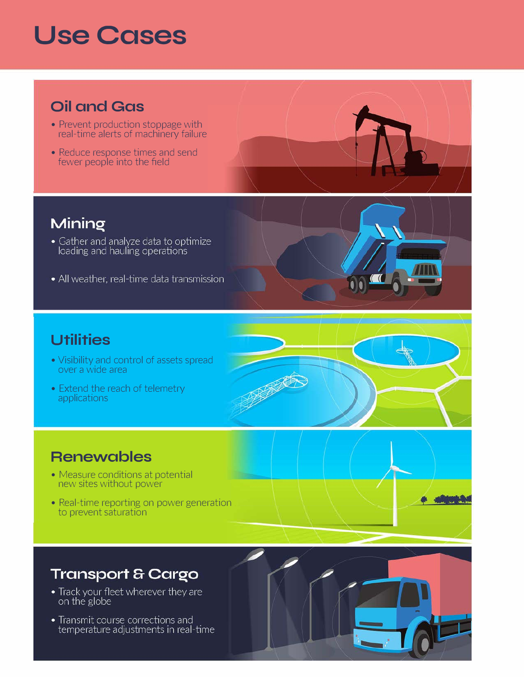## **Use Cases**

## **Oil and Gas**

- Prevent production stoppage with real-time alerts of machinery failure
- Reduce response times and send fewer people into the field



## Mining

- Gather and analyze data to optimize<br>loading and hauling operations
- All weather, real-time data transmission

### **Utilities**

- Visibility and control of assets spread over a wide area
- Extend the reach of telemetry applications



### **Renewables**

- Measure conditions at potential new sites without power
- Real-time reporting on power generation to prevent saturation

## **Transport & Cargo**

- Track your fleet wherever they are<br>on the globe
- Transmit course corrections and temperature adjustments in real-time